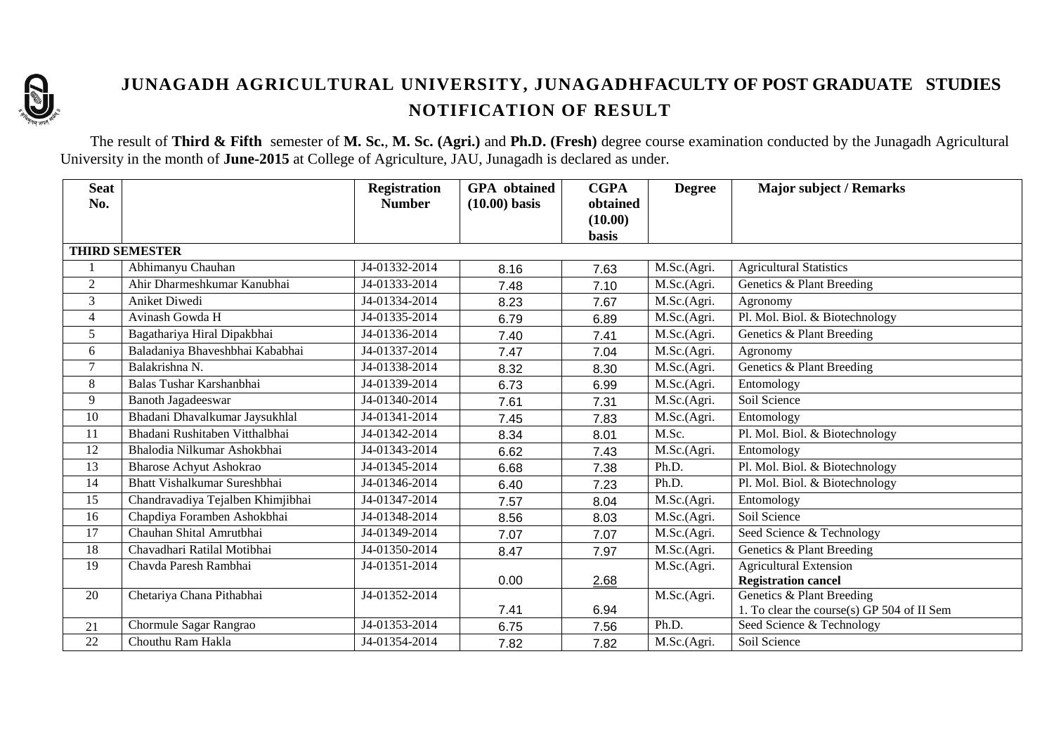

# **JUNAGADH AGRICULTURAL UNIVERSITY, JUNAGADHFACULTY OF POST GRADUATE STUDIES NOTIFICATION OF RESULT**

The result of **Third & Fifth** semester of **M. Sc.**, **M. Sc. (Agri.)** and **Ph.D. (Fresh)** degree course examination conducted by the Junagadh Agricultural University in the month of **June-2015** at College of Agriculture, JAU, Junagadh is declared as under.

| <b>Seat</b><br>No. |                                   | <b>Registration</b><br><b>Number</b> | <b>GPA</b> obtained<br>$(10.00)$ basis | <b>CGPA</b><br>obtained | <b>Degree</b> | <b>Major subject / Remarks</b>             |
|--------------------|-----------------------------------|--------------------------------------|----------------------------------------|-------------------------|---------------|--------------------------------------------|
|                    |                                   |                                      |                                        | (10.00)                 |               |                                            |
|                    |                                   |                                      |                                        | <b>basis</b>            |               |                                            |
|                    | <b>THIRD SEMESTER</b>             |                                      |                                        |                         |               |                                            |
|                    | Abhimanyu Chauhan                 | J4-01332-2014                        | 8.16                                   | 7.63                    | M.Sc.(Agri.   | <b>Agricultural Statistics</b>             |
| $\overline{2}$     | Ahir Dharmeshkumar Kanubhai       | J4-01333-2014                        | 7.48                                   | 7.10                    | M.Sc.(Agri.   | Genetics & Plant Breeding                  |
| $\mathfrak{Z}$     | Aniket Diwedi                     | J4-01334-2014                        | 8.23                                   | 7.67                    | M.Sc.(Agri.   | Agronomy                                   |
| $\overline{4}$     | Avinash Gowda H                   | J4-01335-2014                        | 6.79                                   | 6.89                    | M.Sc.(Agri.   | Pl. Mol. Biol. & Biotechnology             |
| 5                  | Bagathariya Hiral Dipakbhai       | J4-01336-2014                        | 7.40                                   | 7.41                    | M.Sc.(Agri.   | Genetics & Plant Breeding                  |
| 6                  | Baladaniya Bhaveshbhai Kababhai   | J4-01337-2014                        | 7.47                                   | 7.04                    | M.Sc.(Agri.   | Agronomy                                   |
| $\overline{7}$     | Balakrishna N.                    | J4-01338-2014                        | 8.32                                   | 8.30                    | M.Sc.(Agri.   | Genetics & Plant Breeding                  |
| 8                  | Balas Tushar Karshanbhai          | J4-01339-2014                        | 6.73                                   | 6.99                    | M.Sc.(Agri.   | Entomology                                 |
| 9                  | <b>Banoth Jagadeeswar</b>         | J4-01340-2014                        | 7.61                                   | 7.31                    | M.Sc.(Agri.   | Soil Science                               |
| 10                 | Bhadani Dhavalkumar Jaysukhlal    | J4-01341-2014                        | 7.45                                   | 7.83                    | M.Sc.(Agri.   | Entomology                                 |
| 11                 | Bhadani Rushitaben Vitthalbhai    | J4-01342-2014                        | 8.34                                   | 8.01                    | M.Sc.         | Pl. Mol. Biol. & Biotechnology             |
| 12                 | Bhalodia Nilkumar Ashokbhai       | J4-01343-2014                        | 6.62                                   | 7.43                    | M.Sc.(Agri.   | Entomology                                 |
| 13                 | <b>Bharose Achyut Ashokrao</b>    | J4-01345-2014                        | 6.68                                   | 7.38                    | Ph.D.         | Pl. Mol. Biol. & Biotechnology             |
| 14                 | Bhatt Vishalkumar Sureshbhai      | J4-01346-2014                        | 6.40                                   | 7.23                    | Ph.D.         | Pl. Mol. Biol. & Biotechnology             |
| 15                 | Chandravadiya Tejalben Khimjibhai | J4-01347-2014                        | 7.57                                   | 8.04                    | M.Sc.(Agri.   | Entomology                                 |
| 16                 | Chapdiya Foramben Ashokbhai       | J4-01348-2014                        | 8.56                                   | 8.03                    | M.Sc.(Agri.   | Soil Science                               |
| 17                 | Chauhan Shital Amrutbhai          | J4-01349-2014                        | 7.07                                   | 7.07                    | M.Sc.(Agri.   | Seed Science & Technology                  |
| 18                 | Chavadhari Ratilal Motibhai       | J4-01350-2014                        | 8.47                                   | 7.97                    | M.Sc.(Agri.   | Genetics & Plant Breeding                  |
| 19                 | Chavda Paresh Rambhai             | J4-01351-2014                        |                                        |                         | M.Sc.(Agri.   | <b>Agricultural Extension</b>              |
|                    |                                   |                                      | 0.00                                   | 2.68                    |               | <b>Registration cancel</b>                 |
| 20                 | Chetariya Chana Pithabhai         | J4-01352-2014                        |                                        |                         | M.Sc.(Agri.   | Genetics & Plant Breeding                  |
|                    |                                   |                                      | 7.41                                   | 6.94                    |               | 1. To clear the course(s) GP 504 of II Sem |
| 21                 | Chormule Sagar Rangrao            | J4-01353-2014                        | 6.75                                   | 7.56                    | Ph.D.         | Seed Science & Technology                  |
| 22                 | Chouthu Ram Hakla                 | J4-01354-2014                        | 7.82                                   | 7.82                    | M.Sc.(Agri.   | Soil Science                               |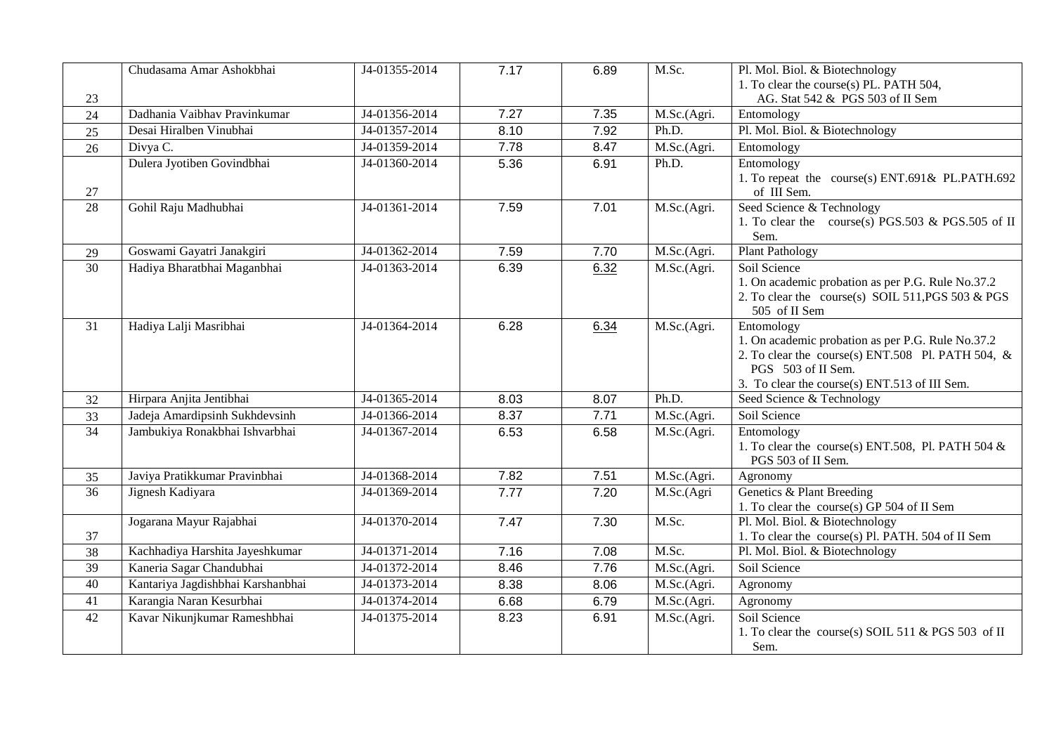|                 | Chudasama Amar Ashokbhai          | J4-01355-2014 | 7.17 | 6.89 | M.Sc.                     | Pl. Mol. Biol. & Biotechnology                                     |
|-----------------|-----------------------------------|---------------|------|------|---------------------------|--------------------------------------------------------------------|
|                 |                                   |               |      |      |                           | 1. To clear the course(s) PL. PATH 504,                            |
| 23              |                                   |               |      |      |                           | AG. Stat 542 & PGS 503 of II Sem                                   |
| 24              | Dadhania Vaibhav Pravinkumar      | J4-01356-2014 | 7.27 | 7.35 | M.Sc.(Agri.               | Entomology                                                         |
| 25              | Desai Hiralben Vinubhai           | J4-01357-2014 | 8.10 | 7.92 | Ph.D.                     | Pl. Mol. Biol. & Biotechnology                                     |
| 26              | Divya C.                          | J4-01359-2014 | 7.78 | 8.47 | M.Sc.(Agri.               | Entomology                                                         |
|                 | Dulera Jyotiben Govindbhai        | J4-01360-2014 | 5.36 | 6.91 | Ph.D.                     | Entomology                                                         |
|                 |                                   |               |      |      |                           | 1. To repeat the course(s) ENT.691& PL.PATH.692                    |
| 27              |                                   |               |      |      |                           | of III Sem.                                                        |
| 28              | Gohil Raju Madhubhai              | J4-01361-2014 | 7.59 | 7.01 | M.Sc.(Agri.               | Seed Science & Technology                                          |
|                 |                                   |               |      |      |                           | 1. To clear the course(s) PGS.503 & PGS.505 of II                  |
|                 |                                   |               |      |      |                           | Sem.                                                               |
| 29              | Goswami Gayatri Janakgiri         | J4-01362-2014 | 7.59 | 7.70 | M.Sc.(Agri.               | <b>Plant Pathology</b>                                             |
| 30              | Hadiya Bharatbhai Maganbhai       | J4-01363-2014 | 6.39 | 6.32 | M.Sc.(Agri.               | Soil Science                                                       |
|                 |                                   |               |      |      |                           | 1. On academic probation as per P.G. Rule No.37.2                  |
|                 |                                   |               |      |      |                           | 2. To clear the course(s) SOIL 511, PGS 503 & PGS<br>505 of II Sem |
| 31              | Hadiya Lalji Masribhai            | J4-01364-2014 | 6.28 |      | M.Sc.(Agri.               | Entomology                                                         |
|                 |                                   |               |      | 6.34 |                           | 1. On academic probation as per P.G. Rule No.37.2                  |
|                 |                                   |               |      |      |                           | 2. To clear the course(s) ENT.508 Pl. PATH 504, &                  |
|                 |                                   |               |      |      |                           | PGS 503 of II Sem.                                                 |
|                 |                                   |               |      |      |                           | 3. To clear the course(s) ENT.513 of III Sem.                      |
| 32              | Hirpara Anjita Jentibhai          | J4-01365-2014 | 8.03 | 8.07 | Ph.D.                     | Seed Science & Technology                                          |
| 33              | Jadeja Amardipsinh Sukhdevsinh    | J4-01366-2014 | 8.37 | 7.71 | $\overline{M}$ .Sc.(Agri. | Soil Science                                                       |
| 34              | Jambukiya Ronakbhai Ishvarbhai    | J4-01367-2014 | 6.53 | 6.58 | M.Sc.(Agri.               | Entomology                                                         |
|                 |                                   |               |      |      |                           | 1. To clear the course(s) ENT.508, Pl. PATH 504 $&$                |
|                 |                                   |               |      |      |                           | PGS 503 of II Sem.                                                 |
| 35              | Javiya Pratikkumar Pravinbhai     | J4-01368-2014 | 7.82 | 7.51 | M.Sc.(Agri.               | Agronomy                                                           |
| $\overline{36}$ | Jignesh Kadiyara                  | J4-01369-2014 | 7.77 | 7.20 | M.Sc.(Agri                | Genetics & Plant Breeding                                          |
|                 |                                   |               |      |      |                           | 1. To clear the course(s) GP 504 of II Sem                         |
|                 | Jogarana Mayur Rajabhai           | J4-01370-2014 | 7.47 | 7.30 | M.Sc.                     | Pl. Mol. Biol. & Biotechnology                                     |
| 37              |                                   |               |      |      |                           | 1. To clear the course(s) Pl. PATH. 504 of II Sem                  |
| 38              | Kachhadiya Harshita Jayeshkumar   | J4-01371-2014 | 7.16 | 7.08 | M.Sc.                     | Pl. Mol. Biol. & Biotechnology                                     |
| 39              | Kaneria Sagar Chandubhai          | J4-01372-2014 | 8.46 | 7.76 | M.Sc.(Agri.               | Soil Science                                                       |
| 40              | Kantariya Jagdishbhai Karshanbhai | J4-01373-2014 | 8.38 | 8.06 | M.Sc.(Agri.               | Agronomy                                                           |
| 41              | Karangia Naran Kesurbhai          | J4-01374-2014 | 6.68 | 6.79 | M.Sc.(Agri.               | Agronomy                                                           |
| 42              | Kavar Nikunjkumar Rameshbhai      | J4-01375-2014 | 8.23 | 6.91 | M.Sc.(Agri.               | Soil Science                                                       |
|                 |                                   |               |      |      |                           | 1. To clear the course(s) SOIL 511 & PGS 503 of II                 |
|                 |                                   |               |      |      |                           | Sem.                                                               |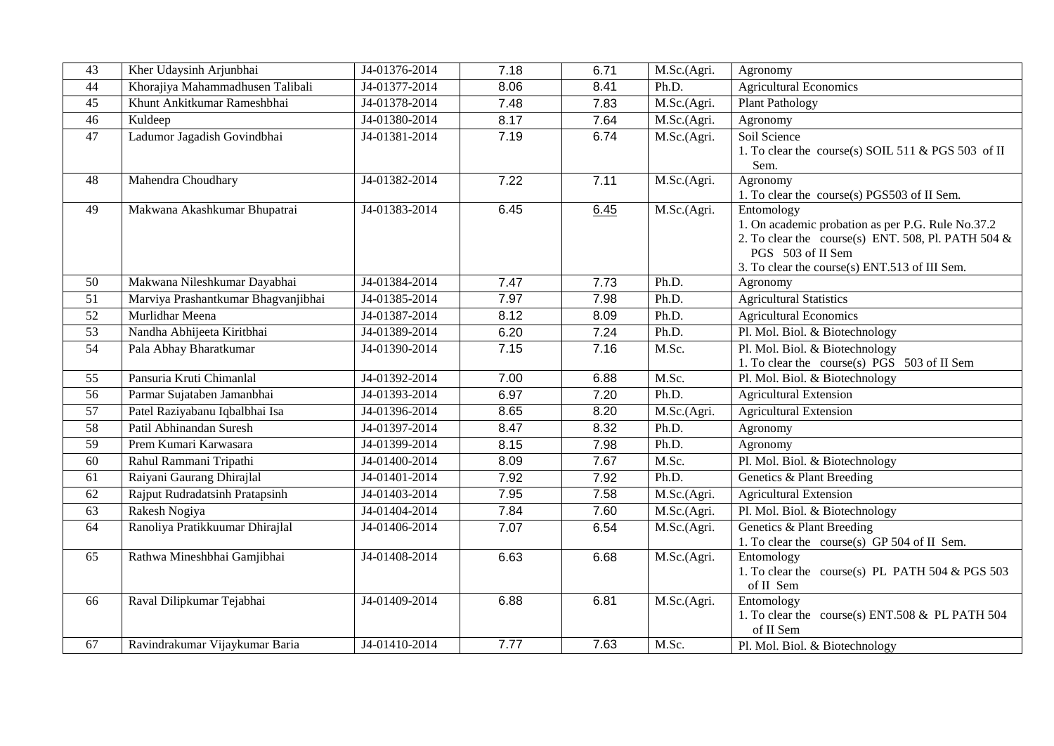| 43              | Kher Udaysinh Arjunbhai             | J4-01376-2014 | 7.18 | 6.71 | M.Sc.(Agri.               | Agronomy                                                                                                                                                                                      |
|-----------------|-------------------------------------|---------------|------|------|---------------------------|-----------------------------------------------------------------------------------------------------------------------------------------------------------------------------------------------|
| 44              | Khorajiya Mahammadhusen Talibali    | J4-01377-2014 | 8.06 | 8.41 | Ph.D.                     | <b>Agricultural Economics</b>                                                                                                                                                                 |
| 45              | Khunt Ankitkumar Rameshbhai         | J4-01378-2014 | 7.48 | 7.83 | M.Sc.(Agri.               | <b>Plant Pathology</b>                                                                                                                                                                        |
| $\overline{46}$ | Kuldeep                             | J4-01380-2014 | 8.17 | 7.64 | M.Sc.(Agri.               | Agronomy                                                                                                                                                                                      |
| 47              | Ladumor Jagadish Govindbhai         | J4-01381-2014 | 7.19 | 6.74 | M.Sc.(Agri.               | Soil Science<br>1. To clear the course(s) SOIL 511 & PGS 503 of II<br>Sem.                                                                                                                    |
| 48              | Mahendra Choudhary                  | J4-01382-2014 | 7.22 | 7.11 | M.Sc.(Agri.               | Agronomy<br>1. To clear the course(s) PGS503 of II Sem.                                                                                                                                       |
| 49              | Makwana Akashkumar Bhupatrai        | J4-01383-2014 | 6.45 | 6.45 | M.Sc.(Agri.               | Entomology<br>1. On academic probation as per P.G. Rule No.37.2<br>2. To clear the course(s) ENT. 508, Pl. PATH 504 $&$<br>PGS 503 of II Sem<br>3. To clear the course(s) ENT.513 of III Sem. |
| 50              | Makwana Nileshkumar Dayabhai        | J4-01384-2014 | 7.47 | 7.73 | Ph.D.                     | Agronomy                                                                                                                                                                                      |
| 51              | Marviya Prashantkumar Bhagvanjibhai | J4-01385-2014 | 7.97 | 7.98 | Ph.D.                     | <b>Agricultural Statistics</b>                                                                                                                                                                |
| $\overline{52}$ | Murlidhar Meena                     | J4-01387-2014 | 8.12 | 8.09 | Ph.D.                     | <b>Agricultural Economics</b>                                                                                                                                                                 |
| $\overline{53}$ | Nandha Abhijeeta Kiritbhai          | J4-01389-2014 | 6.20 | 7.24 | Ph.D.                     | Pl. Mol. Biol. & Biotechnology                                                                                                                                                                |
| $\overline{54}$ | Pala Abhay Bharatkumar              | J4-01390-2014 | 7.15 | 7.16 | M.Sc.                     | Pl. Mol. Biol. & Biotechnology<br>1. To clear the course(s) PGS 503 of II Sem                                                                                                                 |
| 55              | Pansuria Kruti Chimanlal            | J4-01392-2014 | 7.00 | 6.88 | M.Sc.                     | Pl. Mol. Biol. & Biotechnology                                                                                                                                                                |
| $\overline{56}$ | Parmar Sujataben Jamanbhai          | J4-01393-2014 | 6.97 | 7.20 | Ph.D.                     | <b>Agricultural Extension</b>                                                                                                                                                                 |
| $\overline{57}$ | Patel Raziyabanu Iqbalbhai Isa      | J4-01396-2014 | 8.65 | 8.20 | $\overline{M}$ .Sc.(Agri. | <b>Agricultural Extension</b>                                                                                                                                                                 |
| 58              | Patil Abhinandan Suresh             | J4-01397-2014 | 8.47 | 8.32 | Ph.D.                     | Agronomy                                                                                                                                                                                      |
| 59              | Prem Kumari Karwasara               | J4-01399-2014 | 8.15 | 7.98 | Ph.D.                     | Agronomy                                                                                                                                                                                      |
| 60              | Rahul Rammani Tripathi              | J4-01400-2014 | 8.09 | 7.67 | M.Sc.                     | Pl. Mol. Biol. & Biotechnology                                                                                                                                                                |
| 61              | Raiyani Gaurang Dhirajlal           | J4-01401-2014 | 7.92 | 7.92 | Ph.D.                     | Genetics & Plant Breeding                                                                                                                                                                     |
| 62              | Rajput Rudradatsinh Pratapsinh      | J4-01403-2014 | 7.95 | 7.58 | M.Sc.(Agri.               | <b>Agricultural Extension</b>                                                                                                                                                                 |
| 63              | Rakesh Nogiya                       | J4-01404-2014 | 7.84 | 7.60 | M.Sc.(Agri.               | Pl. Mol. Biol. & Biotechnology                                                                                                                                                                |
| 64              | Ranoliya Pratikkuumar Dhirajlal     | J4-01406-2014 | 7.07 | 6.54 | M.Sc.(Agri.               | Genetics & Plant Breeding<br>1. To clear the course(s) GP 504 of II Sem.                                                                                                                      |
| $\overline{65}$ | Rathwa Mineshbhai Gamjibhai         | J4-01408-2014 | 6.63 | 6.68 | M.Sc.(Agri.               | Entomology<br>1. To clear the course(s) PL PATH 504 & PGS 503<br>of II Sem                                                                                                                    |
| 66              | Raval Dilipkumar Tejabhai           | J4-01409-2014 | 6.88 | 6.81 | M.Sc.(Agri.               | Entomology<br>1. To clear the course(s) ENT.508 & PL PATH 504<br>of II Sem                                                                                                                    |
| 67              | Ravindrakumar Vijaykumar Baria      | J4-01410-2014 | 7.77 | 7.63 | M.Sc.                     | Pl. Mol. Biol. & Biotechnology                                                                                                                                                                |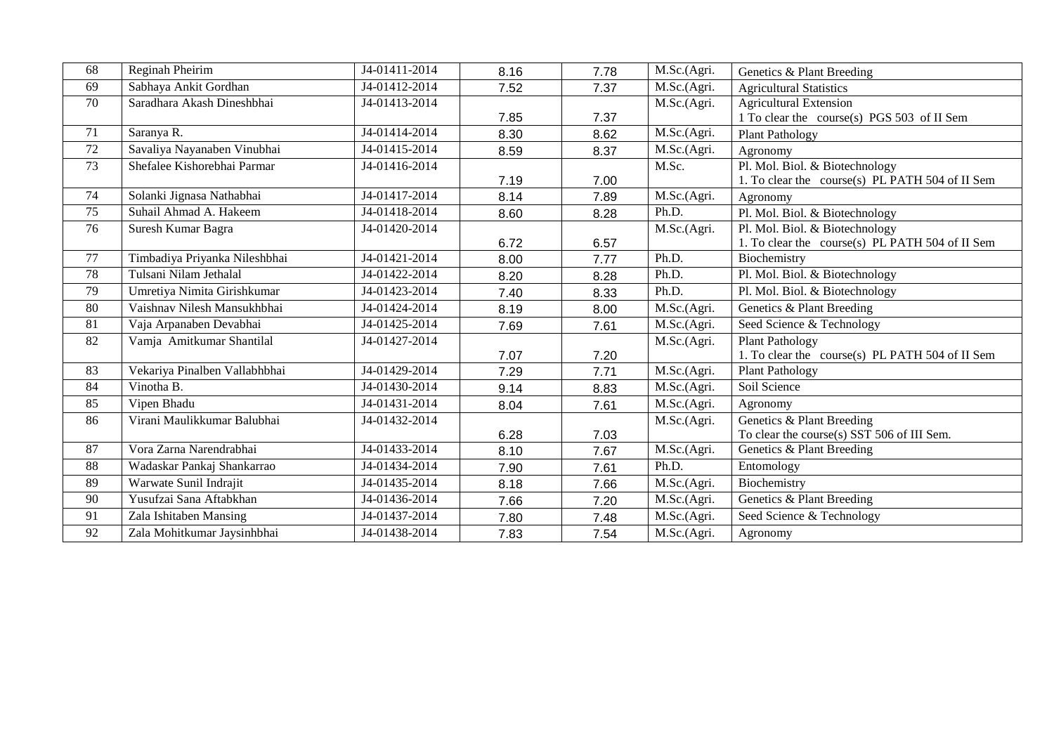| 68              | Reginah Pheirim               | J4-01411-2014              | 8.16 | 7.78 | M.Sc.(Agri. | Genetics & Plant Breeding                       |
|-----------------|-------------------------------|----------------------------|------|------|-------------|-------------------------------------------------|
| 69              | Sabhaya Ankit Gordhan         | J4-01412-2014              | 7.52 | 7.37 | M.Sc.(Agri. | <b>Agricultural Statistics</b>                  |
| 70              | Saradhara Akash Dineshbhai    | J4-01413-2014              |      |      | M.Sc.(Agri. | <b>Agricultural Extension</b>                   |
|                 |                               |                            | 7.85 | 7.37 |             | 1 To clear the course(s) PGS 503 of II Sem      |
| 71              | Saranya R.                    | J4-01414-2014              | 8.30 | 8.62 | M.Sc.(Agri. | <b>Plant Pathology</b>                          |
| 72              | Savaliya Nayanaben Vinubhai   | J4-01415-2014              | 8.59 | 8.37 | M.Sc.(Agri. | Agronomy                                        |
| 73              | Shefalee Kishorebhai Parmar   | J4-01416-2014              |      |      | M.Sc.       | Pl. Mol. Biol. & Biotechnology                  |
|                 |                               |                            | 7.19 | 7.00 |             | 1. To clear the course(s) PL PATH 504 of II Sem |
| 74              | Solanki Jignasa Nathabhai     | J4-01417-2014              | 8.14 | 7.89 | M.Sc.(Agri. | Agronomy                                        |
| $\overline{75}$ | Suhail Ahmad A. Hakeem        | $\overline{J4-01418-2014}$ | 8.60 | 8.28 | Ph.D.       | Pl. Mol. Biol. & Biotechnology                  |
| 76              | Suresh Kumar Bagra            | J4-01420-2014              |      |      | M.Sc.(Agri. | Pl. Mol. Biol. & Biotechnology                  |
|                 |                               |                            | 6.72 | 6.57 |             | 1. To clear the course(s) PL PATH 504 of II Sem |
| 77              | Timbadiya Priyanka Nileshbhai | J4-01421-2014              | 8.00 | 7.77 | Ph.D.       | Biochemistry                                    |
| 78              | Tulsani Nilam Jethalal        | J4-01422-2014              | 8.20 | 8.28 | Ph.D.       | Pl. Mol. Biol. & Biotechnology                  |
| 79              | Umretiya Nimita Girishkumar   | J4-01423-2014              | 7.40 | 8.33 | Ph.D.       | Pl. Mol. Biol. & Biotechnology                  |
| 80              | Vaishnav Nilesh Mansukhbhai   | J4-01424-2014              | 8.19 | 8.00 | M.Sc.(Agri. | Genetics & Plant Breeding                       |
| 81              | Vaja Arpanaben Devabhai       | J4-01425-2014              | 7.69 | 7.61 | M.Sc.(Agri. | Seed Science & Technology                       |
| 82              | Vamja Amitkumar Shantilal     | J4-01427-2014              |      |      | M.Sc.(Agri. | <b>Plant Pathology</b>                          |
|                 |                               |                            | 7.07 | 7.20 |             | 1. To clear the course(s) PL PATH 504 of II Sem |
| 83              | Vekariya Pinalben Vallabhbhai | J4-01429-2014              | 7.29 | 7.71 | M.Sc.(Agri. | <b>Plant Pathology</b>                          |
| 84              | Vinotha B.                    | J4-01430-2014              | 9.14 | 8.83 | M.Sc.(Agri. | Soil Science                                    |
| 85              | Vipen Bhadu                   | J4-01431-2014              | 8.04 | 7.61 | M.Sc.(Agri. | Agronomy                                        |
| 86              | Virani Maulikkumar Balubhai   | J4-01432-2014              |      |      | M.Sc.(Agri. | Genetics & Plant Breeding                       |
|                 |                               |                            | 6.28 | 7.03 |             | To clear the course(s) SST 506 of III Sem.      |
| 87              | Vora Zarna Narendrabhai       | J4-01433-2014              | 8.10 | 7.67 | M.Sc.(Agri. | Genetics & Plant Breeding                       |
| 88              | Wadaskar Pankaj Shankarrao    | J4-01434-2014              | 7.90 | 7.61 | Ph.D.       | Entomology                                      |
| 89              | Warwate Sunil Indrajit        | J4-01435-2014              | 8.18 | 7.66 | M.Sc.(Agri. | Biochemistry                                    |
| 90              | Yusufzai Sana Aftabkhan       | J4-01436-2014              | 7.66 | 7.20 | M.Sc.(Agri. | Genetics & Plant Breeding                       |
| 91              | Zala Ishitaben Mansing        | J4-01437-2014              | 7.80 | 7.48 | M.Sc.(Agri. | Seed Science & Technology                       |
| 92              | Zala Mohitkumar Jaysinhbhai   | J4-01438-2014              | 7.83 | 7.54 | M.Sc.(Agri. | Agronomy                                        |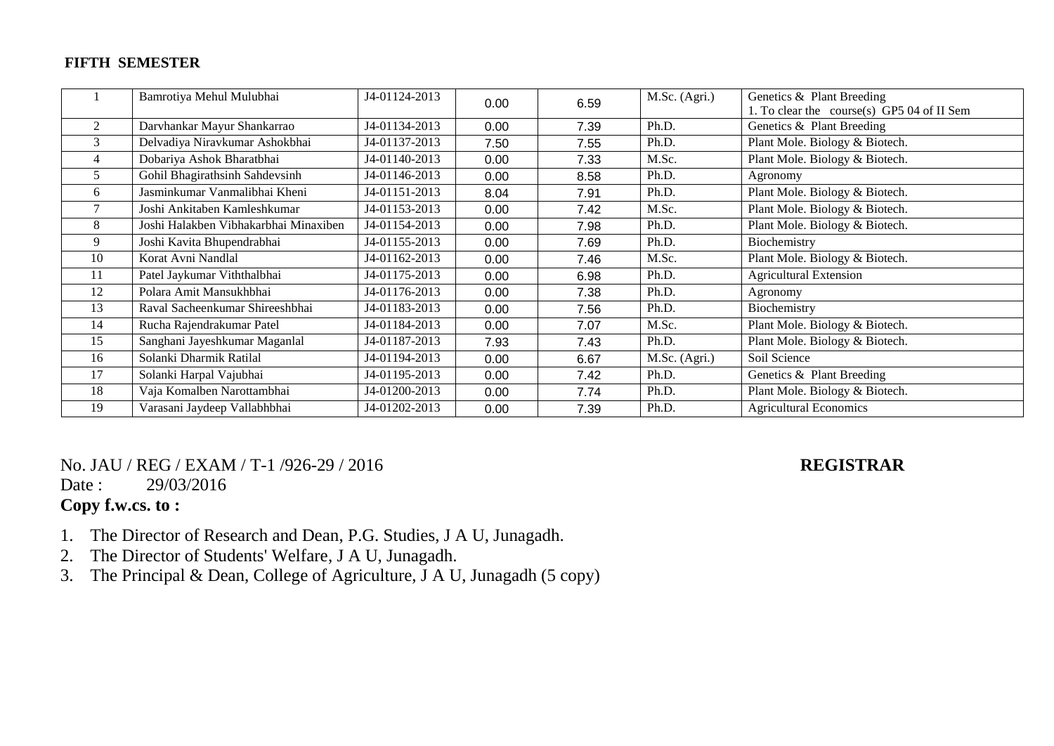#### **FIFTH SEMESTER**

|    | Bamrotiya Mehul Mulubhai              | J4-01124-2013 | 0.00 | 6.59 | M.Sc. (Agri.) | Genetics & Plant Breeding                  |
|----|---------------------------------------|---------------|------|------|---------------|--------------------------------------------|
|    |                                       |               |      |      |               | 1. To clear the course(s) GP5 04 of II Sem |
| 2  | Darvhankar Mayur Shankarrao           | J4-01134-2013 | 0.00 | 7.39 | Ph.D.         | Genetics & Plant Breeding                  |
| 3  | Delvadiya Niravkumar Ashokbhai        | J4-01137-2013 | 7.50 | 7.55 | Ph.D.         | Plant Mole. Biology & Biotech.             |
| 4  | Dobariya Ashok Bharatbhai             | J4-01140-2013 | 0.00 | 7.33 | M.Sc.         | Plant Mole. Biology & Biotech.             |
| 5  | Gohil Bhagirathsinh Sahdevsinh        | J4-01146-2013 | 0.00 | 8.58 | Ph.D.         | Agronomy                                   |
| 6  | Jasminkumar Vanmalibhai Kheni         | J4-01151-2013 | 8.04 | 7.91 | Ph.D.         | Plant Mole. Biology & Biotech.             |
|    | Joshi Ankitaben Kamleshkumar          | J4-01153-2013 | 0.00 | 7.42 | M.Sc.         | Plant Mole. Biology & Biotech.             |
| 8  | Joshi Halakben Vibhakarbhai Minaxiben | J4-01154-2013 | 0.00 | 7.98 | Ph.D.         | Plant Mole. Biology & Biotech.             |
| 9  | Joshi Kavita Bhupendrabhai            | J4-01155-2013 | 0.00 | 7.69 | Ph.D.         | Biochemistry                               |
| 10 | Korat Avni Nandlal                    | J4-01162-2013 | 0.00 | 7.46 | M.Sc.         | Plant Mole. Biology & Biotech.             |
| 11 | Patel Jaykumar Viththalbhai           | J4-01175-2013 | 0.00 | 6.98 | Ph.D.         | <b>Agricultural Extension</b>              |
| 12 | Polara Amit Mansukhbhai               | J4-01176-2013 | 0.00 | 7.38 | Ph.D.         | Agronomy                                   |
| 13 | Raval Sacheenkumar Shireeshbhai       | J4-01183-2013 | 0.00 | 7.56 | Ph.D.         | Biochemistry                               |
| 14 | Rucha Rajendrakumar Patel             | J4-01184-2013 | 0.00 | 7.07 | M.Sc.         | Plant Mole. Biology & Biotech.             |
| 15 | Sanghani Jayeshkumar Maganlal         | J4-01187-2013 | 7.93 | 7.43 | Ph.D.         | Plant Mole. Biology & Biotech.             |
| 16 | Solanki Dharmik Ratilal               | J4-01194-2013 | 0.00 | 6.67 | M.Sc. (Agri.) | Soil Science                               |
| 17 | Solanki Harpal Vajubhai               | J4-01195-2013 | 0.00 | 7.42 | Ph.D.         | Genetics & Plant Breeding                  |
| 18 | Vaja Komalben Narottambhai            | J4-01200-2013 | 0.00 | 7.74 | Ph.D.         | Plant Mole. Biology & Biotech.             |
| 19 | Varasani Jaydeep Vallabhbhai          | J4-01202-2013 | 0.00 | 7.39 | Ph.D.         | <b>Agricultural Economics</b>              |
|    |                                       |               |      |      |               |                                            |

## No. JAU / REG / EXAM / T-1 /926-29 / 2016 **REGISTRAR**

#### Date: 29/03/2016

## **Copy f.w.cs. to :**

- 1. The Director of Research and Dean, P.G. Studies, J A U, Junagadh.
- 2. The Director of Students' Welfare, J A U, Junagadh.
- 3. The Principal & Dean, College of Agriculture, J A U, Junagadh (5 copy)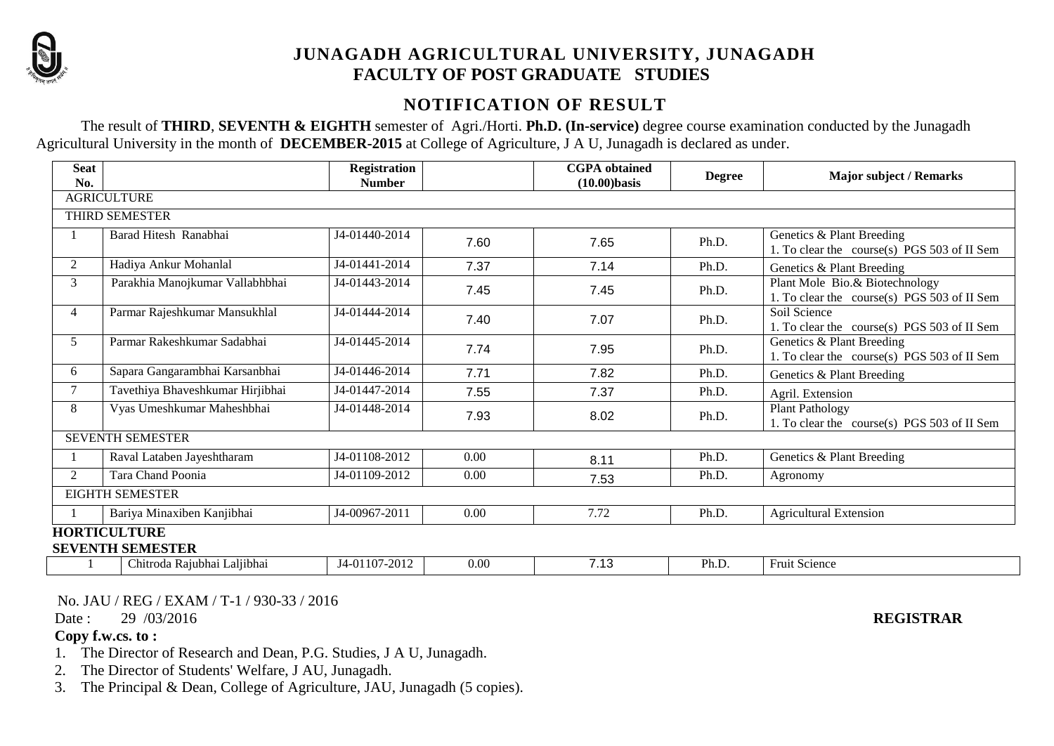

## **JUNAGADH AGRICULTURAL UNIVERSITY, JUNAGADH FACULTY OF POST GRADUATE STUDIES**

## **NOTIFICATION OF RESULT**

The result of **THIRD**, **SEVENTH & EIGHTH** semester of Agri./Horti. **Ph.D. (In-service)** degree course examination conducted by the Junagadh Agricultural University in the month of **DECEMBER-2015** at College of Agriculture, J A U, Junagadh is declared as under.

| <b>Seat</b><br>No. |                                  | <b>Registration</b><br><b>Number</b> |      | <b>CGPA</b> obtained<br>$(10.00)$ basis | <b>Degree</b> | <b>Major subject / Remarks</b>                                                |
|--------------------|----------------------------------|--------------------------------------|------|-----------------------------------------|---------------|-------------------------------------------------------------------------------|
|                    | <b>AGRICULTURE</b>               |                                      |      |                                         |               |                                                                               |
|                    | THIRD SEMESTER                   |                                      |      |                                         |               |                                                                               |
|                    | Barad Hitesh Ranabhai            | J4-01440-2014                        | 7.60 | 7.65                                    | Ph.D.         | Genetics & Plant Breeding<br>1. To clear the course(s) PGS 503 of II Sem      |
| $\overline{2}$     | Hadiya Ankur Mohanlal            | J4-01441-2014                        | 7.37 | 7.14                                    | Ph.D.         | Genetics & Plant Breeding                                                     |
| 3                  | Parakhia Manojkumar Vallabhbhai  | J4-01443-2014                        | 7.45 | 7.45                                    | Ph.D.         | Plant Mole Bio.& Biotechnology<br>1. To clear the course(s) PGS 503 of II Sem |
| 4                  | Parmar Rajeshkumar Mansukhlal    | J4-01444-2014                        | 7.40 | 7.07                                    | Ph.D.         | Soil Science<br>1. To clear the course(s) PGS 503 of II Sem                   |
| 5                  | Parmar Rakeshkumar Sadabhai      | J4-01445-2014                        | 7.74 | 7.95                                    | Ph.D.         | Genetics & Plant Breeding<br>1. To clear the course(s) PGS 503 of II Sem      |
| 6                  | Sapara Gangarambhai Karsanbhai   | J4-01446-2014                        | 7.71 | 7.82                                    | Ph.D.         | Genetics & Plant Breeding                                                     |
| $\overline{7}$     | Tavethiya Bhaveshkumar Hirjibhai | J4-01447-2014                        | 7.55 | 7.37                                    | Ph.D.         | Agril. Extension                                                              |
| 8                  | Vyas Umeshkumar Maheshbhai       | J4-01448-2014                        | 7.93 | 8.02                                    | Ph.D.         | <b>Plant Pathology</b><br>1. To clear the course(s) PGS 503 of II Sem         |
|                    | <b>SEVENTH SEMESTER</b>          |                                      |      |                                         |               |                                                                               |
|                    | Raval Lataben Jayeshtharam       | J4-01108-2012                        | 0.00 | 8.11                                    | Ph.D.         | Genetics & Plant Breeding                                                     |
| $\overline{2}$     | Tara Chand Poonia                | J4-01109-2012                        | 0.00 | 7.53                                    | Ph.D.         | Agronomy                                                                      |
|                    | <b>EIGHTH SEMESTER</b>           |                                      |      |                                         |               |                                                                               |
|                    | Bariya Minaxiben Kanjibhai       | J4-00967-2011                        | 0.00 | 7.72                                    | Ph.D.         | <b>Agricultural Extension</b>                                                 |
|                    | <b>HORTICULTURE</b>              |                                      |      |                                         |               |                                                                               |
|                    | <b>SEVENTH SEMESTER</b>          |                                      |      |                                         |               |                                                                               |
|                    | Chitroda Rajubhai Laljibhai      | J4-01107-2012                        | 0.00 | 7.13                                    | Ph.D.         | Fruit Science                                                                 |

No. JAU / REG / EXAM / T-1 / 930-33 / 2016

Date : 29 /03/2016 **REGISTRAR**

#### **Copy f.w.cs. to :**

- 1. The Director of Research and Dean, P.G. Studies, J A U, Junagadh.
- 2. The Director of Students' Welfare, J AU, Junagadh.
- 3. The Principal & Dean, College of Agriculture, JAU, Junagadh (5 copies).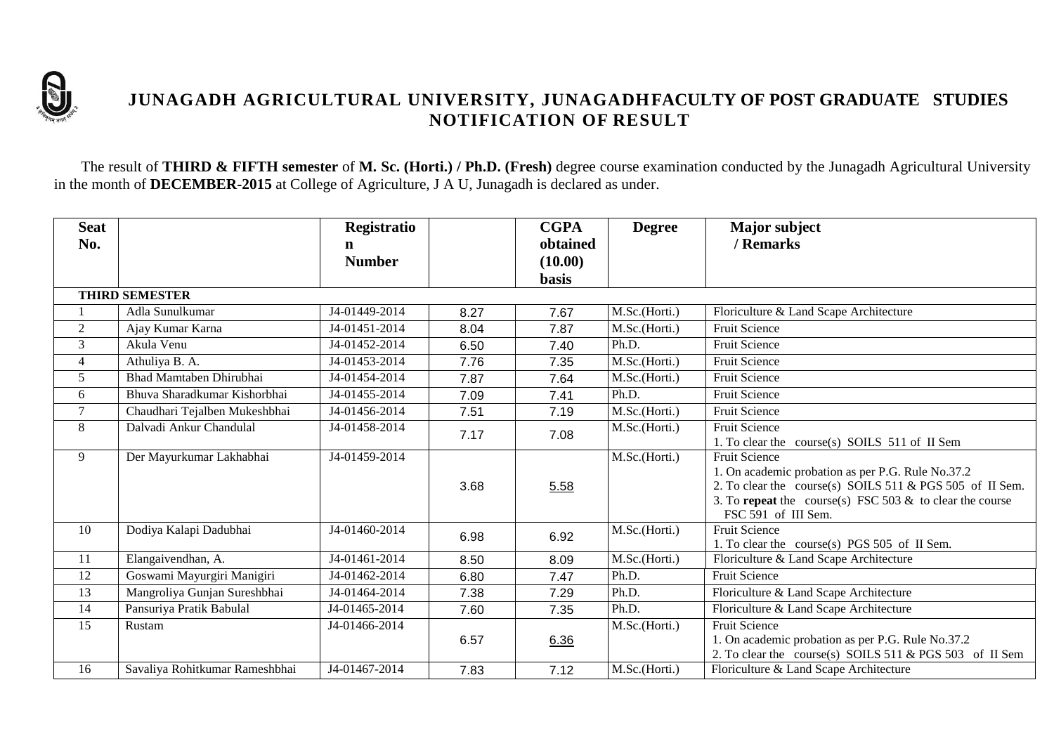

## **JUNAGADH AGRICULTURAL UNIVERSITY, JUNAGADHFACULTY OF POST GRADUATE STUDIES NOTIFICATION OF RESULT**

The result of **THIRD & FIFTH semester** of **M. Sc. (Horti.) / Ph.D. (Fresh)** degree course examination conducted by the Junagadh Agricultural University in the month of **DECEMBER-2015** at College of Agriculture, J A U, Junagadh is declared as under.

| <b>Seat</b>    |                                | Registratio   |      | <b>CGPA</b>  | <b>Degree</b> | <b>Major subject</b>                                                                                                    |
|----------------|--------------------------------|---------------|------|--------------|---------------|-------------------------------------------------------------------------------------------------------------------------|
| No.            |                                | n             |      | obtained     |               | / Remarks                                                                                                               |
|                |                                | <b>Number</b> |      | (10.00)      |               |                                                                                                                         |
|                |                                |               |      | <b>basis</b> |               |                                                                                                                         |
|                | <b>THIRD SEMESTER</b>          |               |      |              |               |                                                                                                                         |
|                | Adla Sunulkumar                | J4-01449-2014 | 8.27 | 7.67         | M.Sc.(Horti.) | Floriculture & Land Scape Architecture                                                                                  |
| $\overline{2}$ | Ajay Kumar Karna               | J4-01451-2014 | 8.04 | 7.87         | M.Sc.(Horti.) | <b>Fruit Science</b>                                                                                                    |
| 3              | Akula Venu                     | J4-01452-2014 | 6.50 | 7.40         | Ph.D.         | <b>Fruit Science</b>                                                                                                    |
| 4              | Athuliya B. A.                 | J4-01453-2014 | 7.76 | 7.35         | M.Sc.(Horti.) | <b>Fruit Science</b>                                                                                                    |
| 5              | Bhad Mamtaben Dhirubhai        | J4-01454-2014 | 7.87 | 7.64         | M.Sc.(Horti.) | Fruit Science                                                                                                           |
| 6              | Bhuva Sharadkumar Kishorbhai   | J4-01455-2014 | 7.09 | 7.41         | Ph.D.         | <b>Fruit Science</b>                                                                                                    |
| $\tau$         | Chaudhari Tejalben Mukeshbhai  | J4-01456-2014 | 7.51 | 7.19         | M.Sc.(Horti.) | Fruit Science                                                                                                           |
| 8              | Dalvadi Ankur Chandulal        | J4-01458-2014 | 7.17 | 7.08         | M.Sc.(Horti.) | Fruit Science                                                                                                           |
|                |                                |               |      |              |               | 1. To clear the course(s) SOILS 511 of II Sem                                                                           |
| 9              | Der Mayurkumar Lakhabhai       | J4-01459-2014 |      |              | M.Sc.(Horti.) | <b>Fruit Science</b>                                                                                                    |
|                |                                |               |      |              |               | 1. On academic probation as per P.G. Rule No.37.2                                                                       |
|                |                                |               | 3.68 | 5.58         |               | 2. To clear the course(s) SOILS 511 & PGS 505 of II Sem.<br>3. To repeat the course(s) FSC 503 $\&$ to clear the course |
|                |                                |               |      |              |               | FSC 591 of III Sem.                                                                                                     |
| 10             | Dodiya Kalapi Dadubhai         | J4-01460-2014 |      |              | M.Sc.(Horti.) | <b>Fruit Science</b>                                                                                                    |
|                |                                |               | 6.98 | 6.92         |               | 1. To clear the course(s) PGS 505 of II Sem.                                                                            |
| 11             | Elangaivendhan, A.             | J4-01461-2014 | 8.50 | 8.09         | M.Sc.(Horti.) | Floriculture & Land Scape Architecture                                                                                  |
| 12             | Goswami Mayurgiri Manigiri     | J4-01462-2014 | 6.80 | 7.47         | Ph.D.         | Fruit Science                                                                                                           |
| 13             | Mangroliya Gunjan Sureshbhai   | J4-01464-2014 | 7.38 | 7.29         | Ph.D.         | Floriculture & Land Scape Architecture                                                                                  |
| 14             | Pansuriya Pratik Babulal       | J4-01465-2014 | 7.60 | 7.35         | Ph.D.         | Floriculture & Land Scape Architecture                                                                                  |
| 15             | Rustam                         | J4-01466-2014 |      |              | M.Sc.(Horti.) | <b>Fruit Science</b>                                                                                                    |
|                |                                |               | 6.57 | 6.36         |               | 1. On academic probation as per P.G. Rule No.37.2                                                                       |
|                |                                |               |      |              |               | 2. To clear the course(s) SOILS 511 & PGS 503 of II Sem                                                                 |
| 16             | Savaliya Rohitkumar Rameshbhai | J4-01467-2014 | 7.83 | 7.12         | M.Sc.(Horti.) | Floriculture & Land Scape Architecture                                                                                  |